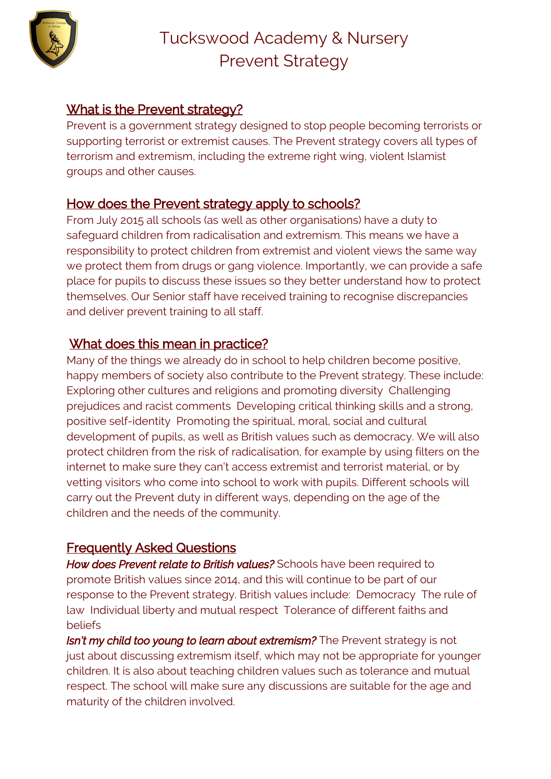

## What is the Prevent strategy?

Prevent is a government strategy designed to stop people becoming terrorists or supporting terrorist or extremist causes. The Prevent strategy covers all types of terrorism and extremism, including the extreme right wing, violent Islamist groups and other causes.

### How does the Prevent strategy apply to schools?

From July 2015 all schools (as well as other organisations) have a duty to safeguard children from radicalisation and extremism. This means we have a responsibility to protect children from extremist and violent views the same way we protect them from drugs or gang violence. Importantly, we can provide a safe place for pupils to discuss these issues so they better understand how to protect themselves. Our Senior staff have received training to recognise discrepancies and deliver prevent training to all staff.

# What does this mean in practice?

Many of the things we already do in school to help children become positive, happy members of society also contribute to the Prevent strategy. These include: Exploring other cultures and religions and promoting diversity Challenging prejudices and racist comments Developing critical thinking skills and a strong, positive self-identity Promoting the spiritual, moral, social and cultural development of pupils, as well as British values such as democracy. We will also protect children from the risk of radicalisation, for example by using filters on the internet to make sure they can't access extremist and terrorist material, or by vetting visitors who come into school to work with pupils. Different schools will carry out the Prevent duty in different ways, depending on the age of the children and the needs of the community.

### Frequently Asked Questions

*How does Prevent relate to British values?* Schools have been required to promote British values since 2014, and this will continue to be part of our response to the Prevent strategy. British values include: Democracy The rule of law Individual liberty and mutual respect Tolerance of different faiths and beliefs

*Isn't my child too young to learn about extremism?* The Prevent strategy is not just about discussing extremism itself, which may not be appropriate for younger children. It is also about teaching children values such as tolerance and mutual respect. The school will make sure any discussions are suitable for the age and maturity of the children involved.